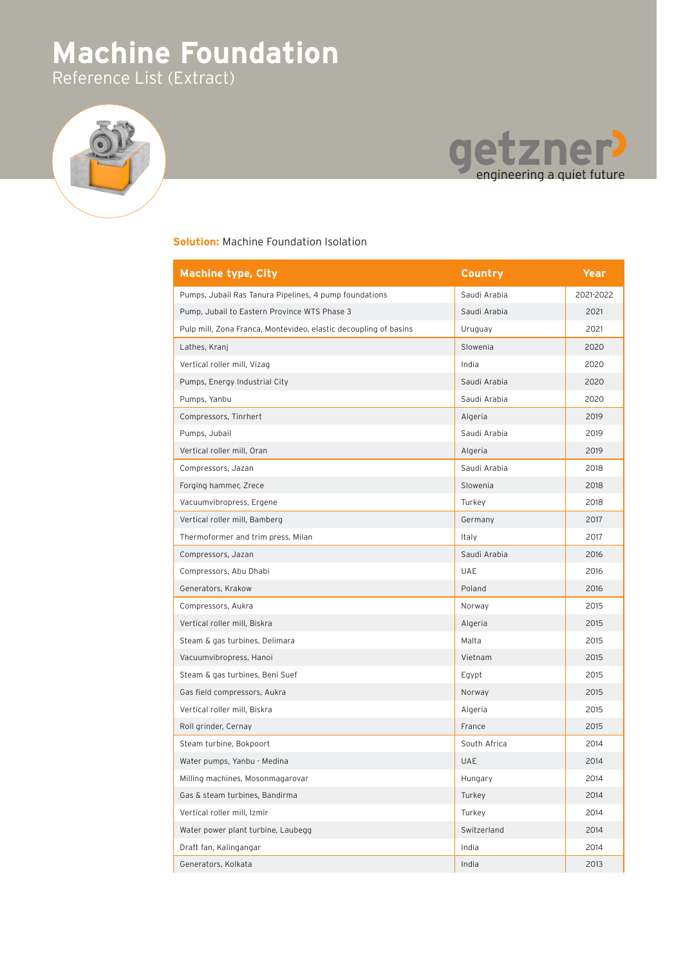## **Machine Foundation** Reference List (Extract)





## **Solution:** Machine Foundation Isolation

| <b>Machine type, City</b>                                        | Country      | <b>Year</b> |
|------------------------------------------------------------------|--------------|-------------|
| Pumps, Jubail Ras Tanura Pipelines, 4 pump foundations           | Saudi Arabia | 2021-2022   |
| Pump, Jubail to Eastern Province WTS Phase 3                     | Saudi Arabia | 2021        |
| Pulp mill, Zona Franca, Montevideo, elastic decoupling of basins | Uruguay      | 2021        |
| Lathes, Kranj                                                    | Slowenia     | 2020        |
| Vertical roller mill, Vizag                                      | India        | 2020        |
| Pumps, Energy Industrial City                                    | Saudi Arabia | 2020        |
| Pumps, Yanbu                                                     | Saudi Arabia | 2020        |
| Compressors, Tinrhert                                            | Algeria      | 2019        |
| Pumps, Jubail                                                    | Saudi Arabia | 2019        |
| Vertical roller mill, Oran                                       | Algeria      | 2019        |
| Compressors, Jazan                                               | Saudi Arabia | 2018        |
| Forging hammer, Zrece                                            | Slowenia     | 2018        |
| Vacuumvibropress, Ergene                                         | Turkey       | 2018        |
| Vertical roller mill, Bamberg                                    | Germany      | 2017        |
| Thermoformer and trim press, Milan                               | Italy        | 2017        |
| Compressors, Jazan                                               | Saudi Arabia | 2016        |
| Compressors, Abu Dhabi                                           | <b>UAE</b>   | 2016        |
| Generators, Krakow                                               | Poland       | 2016        |
| Compressors, Aukra                                               | Norway       | 2015        |
| Vertical roller mill, Biskra                                     | Algeria      | 2015        |
| Steam & gas turbines, Delimara                                   | Malta        | 2015        |
| Vacuumvibropress, Hanoi                                          | Vietnam      | 2015        |
| Steam & gas turbines, Beni Suef                                  | Egypt        | 2015        |
| Gas field compressors, Aukra                                     | Norway       | 2015        |
| Vertical roller mill, Biskra                                     | Algeria      | 2015        |
| Roll grinder, Cernay                                             | France       | 2015        |
| Steam turbine, Bokpoort                                          | South Africa | 2014        |
| Water pumps, Yanbu - Medina                                      | <b>UAE</b>   | 2014        |
| Milling machines, Mosonmagarovar                                 | Hungary      | 2014        |
| Gas & steam turbines, Bandirma                                   | Turkey       | 2014        |
| Vertical roller mill, Izmir                                      | Turkey       | 2014        |
| Water power plant turbine, Laubegg                               | Switzerland  | 2014        |
| Draft fan, Kalingangar                                           | India        | 2014        |
| Generators, Kolkata                                              | India        | 2013        |